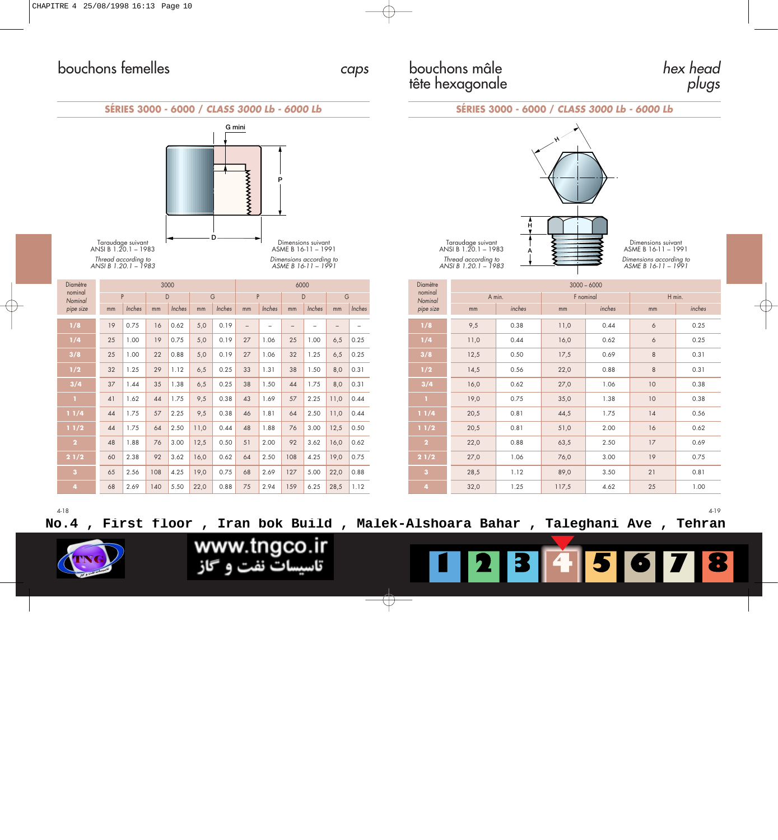## bouchons mâle tête hexagonale

hex head <sup>p</sup>lugs





| Diamètre                |    |        |     | 3000   |      | 6000   |                          |                          |                   |        |                   |        |  |
|-------------------------|----|--------|-----|--------|------|--------|--------------------------|--------------------------|-------------------|--------|-------------------|--------|--|
| nominal<br>Nominal      |    | P      |     | D      |      | G      |                          | P                        |                   | D      |                   | G      |  |
| pipe size               | mm | Inches | mm  | Inches | mm   | Inches | mm                       | Inches                   | mm                | Inches | mm                | Inches |  |
| 1/8                     | 19 | 0.75   | 16  | 0.62   | 5,0  | 0.19   | $\overline{\phantom{0}}$ | $\overline{\phantom{0}}$ | $\qquad \qquad -$ | -      | $\qquad \qquad -$ |        |  |
| 1/4                     | 25 | 1.00   | 19  | 0.75   | 5,0  | 0.19   | 27                       | 1.06                     | 25                | 1.00   | 6,5               | 0.25   |  |
| 3/8                     | 25 | 1.00   | 22  | 0.88   | 5,0  | 0.19   | 27                       | 1.06                     | 32                | 1.25   | 6,5               | 0.25   |  |
| 1/2                     | 32 | 1.25   | 29  | 1.12   | 6,5  | 0.25   | 33                       | 1.31                     | 38                | 1.50   | 8,0               | 0.31   |  |
| 3/4                     | 37 | 1.44   | 35  | 1.38   | 6,5  | 0.25   | 38                       | 1.50                     | 44                | 1.75   | 8,0               | 0.31   |  |
| п                       | 41 | 1.62   | 44  | 1.75   | 9,5  | 0.38   | 43                       | 1.69                     | 57                | 2.25   | 11,0              | 0.44   |  |
| 11/4                    | 44 | 1.75   | 57  | 2.25   | 9,5  | 0.38   | 46                       | 1.81                     | 64                | 2.50   | 11,0              | 0.44   |  |
| 11/2                    | 44 | 1.75   | 64  | 2.50   | 11,0 | 0.44   | 48                       | 1.88                     | 76                | 3.00   | 12,5              | 0.50   |  |
| $\overline{2}$          | 48 | 1.88   | 76  | 3.00   | 12,5 | 0.50   | 51                       | 2.00                     | 92                | 3.62   | 16,0              | 0.62   |  |
| 21/2                    | 60 | 2.38   | 92  | 3.62   | 16,0 | 0.62   | 64                       | 2.50                     | 108               | 4.25   | 19,0              | 0.75   |  |
| $\overline{\mathbf{3}}$ | 65 | 2.56   | 108 | 4.25   | 19,0 | 0.75   | 68                       | 2.69                     | 127               | 5.00   | 22,0              | 0.88   |  |
| 4                       | 68 | 2.69   | 140 | 5.50   | 22,0 | 0.88   | 75                       | 2.94                     | 159               | 6.25   | 28,5              | 1.12   |  |



Dimensions suivant ASME B 16-11 – 1991 Dimensions according to ASME B 16-11 – 1991

| <b>Diamètre</b><br>nominal | $3000 - 6000$ |        |           |        |                |        |  |  |  |  |  |
|----------------------------|---------------|--------|-----------|--------|----------------|--------|--|--|--|--|--|
| Nominal                    |               | A min. | F nominal |        | H min.         |        |  |  |  |  |  |
| pipe size                  | mm            | inches | mm        | inches | mm             | inches |  |  |  |  |  |
| 1/8                        | 9,5           | 0.38   | 11,0      | 0.44   | $\ddot{\circ}$ | 0.25   |  |  |  |  |  |
| 1/4                        | 11,0          | 0.44   | 16,0      | 0.62   | 6              | 0.25   |  |  |  |  |  |
| 3/8                        | 12,5          | 0.50   | 17,5      | 0.69   | 8              | 0.31   |  |  |  |  |  |
| 1/2                        | 14,5          | 0.56   | 22,0      | 0.88   | 8              | 0.31   |  |  |  |  |  |
| 3/4                        | 16,0          | 0.62   | 27,0      | 1.06   | 10             | 0.38   |  |  |  |  |  |
| n                          | 19,0          | 0.75   | 35,0      | 1.38   | 10             | 0.38   |  |  |  |  |  |
| 11/4                       | 20,5          | 0.81   | 44,5      | 1.75   | 14             | 0.56   |  |  |  |  |  |
| 11/2                       | 20,5          | 0.81   | 51,0      | 2.00   | 16             | 0.62   |  |  |  |  |  |
| $\overline{2}$             | 22,0          | 0.88   | 63,5      | 2.50   | 17             | 0.69   |  |  |  |  |  |
| 21/2                       | 27,0          | 1.06   | 76,0      | 3.00   | 19             | 0.75   |  |  |  |  |  |
| $\bf{3}$                   | 28,5          | 1.12   | 89,0      | 3.50   | 21             | 0.81   |  |  |  |  |  |
| $\overline{\mathbf{4}}$    | 32,0          | 1.25   | 117,5     | 4.62   | 25             | 1.00   |  |  |  |  |  |

**No.4 , First floor , Iran bok Build , Malek-Alshoara Bahar , Taleghani Ave , Tehran**



www.tngco.ir تاسیسات نفت و گاز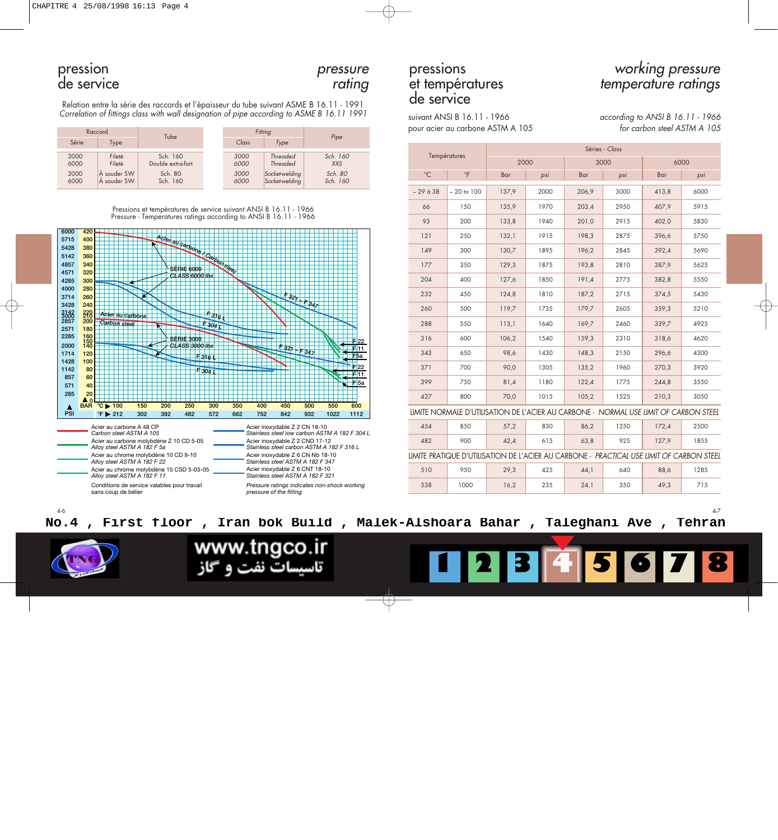pression pressure pressions working pressure<br>de service rating de service entre la série des raccords et l'épaisseur du tube suivant ASME B 16.11 - 1991<br>Correlation of titings class with wall designation of pipe according

| Raccord                      |                                                | Tube                                                 | Fitting                      | Pipe                                                                   |                                               |  |
|------------------------------|------------------------------------------------|------------------------------------------------------|------------------------------|------------------------------------------------------------------------|-----------------------------------------------|--|
| Série                        | Type                                           |                                                      | Class                        | Type                                                                   |                                               |  |
| 3000<br>6000<br>3000<br>6000 | Fileté<br>Fileté<br>A souder SW<br>A souder SW | Sch. 160<br>Double extra-fort<br>Sch. 80<br>Sch. 160 | 3000<br>6000<br>3000<br>6000 | <b>Threaded</b><br><b>Threaded</b><br>Socket-welding<br>Socket-welding | Sch. 160<br><b>XXS</b><br>Sch. 80<br>Sch. 160 |  |



suivant ANSI B 16.11 - 1966 pour acier au carbone ASTM A 105 according to ANSI B 16.11 - 1966 for carbon steel ASTM A 105

| Série                      |                                                                                                                                                                  | סטו                                                              |                          |                                                                      | 1100                                          |              |                                                                                           |                |      |       |      |       |      |
|----------------------------|------------------------------------------------------------------------------------------------------------------------------------------------------------------|------------------------------------------------------------------|--------------------------|----------------------------------------------------------------------|-----------------------------------------------|--------------|-------------------------------------------------------------------------------------------|----------------|------|-------|------|-------|------|
|                            | Type                                                                                                                                                             |                                                                  |                          | Class<br>Type<br>Sch. 160<br>3000<br>Threaded                        |                                               |              |                                                                                           | Séries - Class |      |       |      |       |      |
| 3000<br>6000               | Fileté<br>Fileté                                                                                                                                                 | Sch. 160<br>Double extra-fort                                    | 6000                     | Threaded                                                             | <b>XXS</b>                                    |              | Températures                                                                              | 2000           |      |       | 3000 |       | 6000 |
| 3000<br>6000               | A souder SW<br>A souder SW                                                                                                                                       | Sch. 80<br>Sch. 160                                              | 3000<br>6000             | Socket-welding<br>Socket-welding                                     | Sch. 80<br>Sch. 160                           | $^{\circ}$ C | $\overline{F}$                                                                            | Bar            | psi  | Bar   | psi  | Bar   | psi  |
|                            |                                                                                                                                                                  |                                                                  |                          |                                                                      |                                               | $-29$ à $38$ | $-20$ to $100$                                                                            | 137.9          | 2000 | 206,9 | 3000 | 413,8 | 6000 |
|                            |                                                                                                                                                                  | Pressions et températures de service suivant ANSI B 16.11 - 1966 |                          |                                                                      |                                               | 66           | 150                                                                                       | 135.9          | 1970 | 203.4 | 2950 | 407.9 | 5915 |
|                            |                                                                                                                                                                  | Pressure - Temperatures ratings according to ANSI B 16.11 - 1966 |                          |                                                                      |                                               | 93           | 200                                                                                       | 133,8          | 1940 | 201,0 | 2915 | 402,0 | 5830 |
| 420<br>6000<br>400<br>5715 |                                                                                                                                                                  |                                                                  |                          |                                                                      |                                               | 121          | 250                                                                                       | 132,1          | 1915 | 198,3 | 2875 | 396,6 | 5750 |
| 380<br>5428<br>360<br>5142 |                                                                                                                                                                  | ACIBI au Carbone / Carbon steel                                  |                          |                                                                      |                                               | 149          | 300                                                                                       | 130,7          | 1895 | 196,2 | 2845 | 392,4 | 5690 |
| 340<br>4857<br>320<br>4571 |                                                                                                                                                                  |                                                                  |                          |                                                                      |                                               | 177          | 350                                                                                       | 129.3          | 1875 | 193.8 | 2810 | 387,9 | 5625 |
| 4285<br>300                |                                                                                                                                                                  | CLASS 6000 lbs                                                   |                          |                                                                      |                                               | 204          | 400                                                                                       | 127,6          | 1850 | 191,4 | 2775 | 382,8 | 5550 |
| 4000<br>280<br>260<br>3714 |                                                                                                                                                                  |                                                                  |                          | 32 <sub>T</sub>                                                      |                                               | 232          | 450                                                                                       | 124,8          | 1810 | 187,2 | 2715 | 374,5 | 5430 |
| 3428<br>240                | Acier au carbone                                                                                                                                                 |                                                                  | $F_{316}$                |                                                                      | 84                                            | 260          | 500                                                                                       | 119.7          | 1735 | 179.7 | 2605 | 359,3 | 5210 |
|                            | 3142<br>3000<br>2857<br>220<br>210<br>200<br>Carbon steel<br>$F$ 304 $\Gamma$<br>2571<br>180<br>160<br>2285<br><b>SÉRIE 3000</b><br>F22<br><b>CLASS 3000 lbs</b> |                                                                  |                          |                                                                      |                                               | 288          | 550                                                                                       | 113,1          | 1640 | 169.7 | 2460 | 339.7 | 4925 |
|                            |                                                                                                                                                                  |                                                                  |                          |                                                                      |                                               | 316          | 600                                                                                       | 106.2          | 1540 | 159.3 | 2310 | 318.6 | 4620 |
| 2000<br>140<br>120<br>1714 |                                                                                                                                                                  |                                                                  | F316 L                   | $F$ 321- $F$ 347                                                     | $F_{11}$<br>F <sub>5a</sub>                   | 343          | 650                                                                                       | 98,6           | 1430 | 148,3 | 2150 | 296,6 | 4300 |
| 100<br>1428<br>1142<br>80  |                                                                                                                                                                  |                                                                  | F304                     |                                                                      | $\mathsf{F}$ F 22<br><del>16</del> 11         | 371          | 700                                                                                       | 90,0           | 1305 | 135,2 | 1960 | 270,3 | 3920 |
| 857<br>60<br>571<br>40     |                                                                                                                                                                  |                                                                  |                          |                                                                      | $F$ 5a                                        | 399          | 750                                                                                       | 81,4           | 1180 | 122,4 | 1775 | 244,8 | 3550 |
| 285<br>20<br>$\triangle$ 0 |                                                                                                                                                                  |                                                                  |                          |                                                                      |                                               | 427          | 800                                                                                       | 70.0           | 1015 | 105,2 | 1525 | 210,3 | 3050 |
| А<br>PSI                   | BAR $^{\circ}$ C $\blacktriangleright$ 100<br>$\mathrm{P} \triangleright 212$                                                                                    | 150<br>200<br>250<br>392<br>482<br>302                           | 300<br>350<br>572<br>662 | 400<br>450<br>842<br>752                                             | 500<br>550<br>600<br>1022<br>932<br>1112      |              | LIMITE NORMALE D'UTILISATION DE L'ACIER AU CARBONE - NORMAL USE LIMIT OF CARBON STEEL     |                |      |       |      |       |      |
|                            | Acier au carbone A 48 CP<br>Carbon steel ASTM A 105                                                                                                              |                                                                  |                          | Acier inoxydable Z 2 CN 18-10                                        | Stainless steel low carbon ASTM A 182 F 304 L | 454          | 850                                                                                       | 57,2           | 830  | 86,2  | 1250 | 172,4 | 2500 |
|                            | Alloy steel ASTM A 182 F 5a                                                                                                                                      | Acier au carbone molybdène Z 10 CD 5-05                          |                          | Acier inoxydable Z 2 CND 17-12                                       | Stainless steel carbon ASTM A 182 F 316 L     | 482          | 900                                                                                       | 42,4           | 615  | 63,8  | 925  | 127,9 | 1855 |
|                            | Alloy steel ASTM A 182 F 22                                                                                                                                      | Acier au chrome molybdène 10 CD 9-10                             |                          | Acier inoxydable Z 6 CN Nb 18-10<br>Stainless steel ASTM A 182 F 347 |                                               |              | LIMITE PRATIQUE D'UTILISATION DE L'ACIER AU CARBONE - PRACTICAL USE LIMIT OF CARBON STEEL |                |      |       |      |       |      |
|                            | Alloy steel ASTM A 182 F 11                                                                                                                                      | Acier au chrome molybdène 15 CSD 5-03-05                         |                          | Acier inoxydable Z 6 CNT 18-10<br>Stainless steel ASTM A 182 F 321   |                                               | 510          | 950                                                                                       | 29,3           | 425  | 44,1  | 640  | 88,6  | 1285 |
|                            | sans coup de bélier                                                                                                                                              | Conditions de service valables pour travail                      |                          | pressure of the fitting                                              | Pressure ratings indicates non-shock working  | 538          | 1000                                                                                      | 16,2           | 235  | 24,1  | 350  | 49,3  | 715  |
|                            |                                                                                                                                                                  |                                                                  |                          |                                                                      |                                               |              |                                                                                           |                |      |       |      |       | 4-7  |

**No.4 , First floor , Iran bok Build , Malek-Alshoara Bahar , Taleghani Ave , Tehran**

www.tngco.ir تاسیسات نفت و گاز



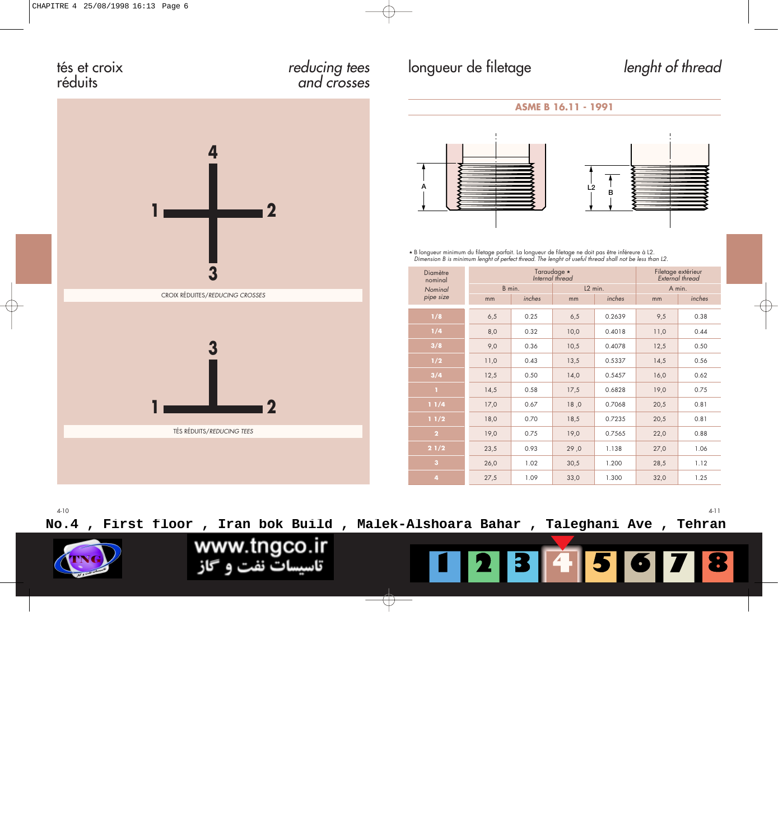## tés et croix

# réduits reducing tees and crosses longueur de filetage lenght of thread





, B longueur minimum du filetage parfait. La longueur de filetage ne doit pas être inféreure à L2. Dimension B is minimum lenght of perfect thread. The lenght of useful thread shall not be less than L2.

| Diamètre<br>nominal     |      | Taraudage *<br>Internal thread | Filetage extérieur<br>External thread |        |        |        |  |
|-------------------------|------|--------------------------------|---------------------------------------|--------|--------|--------|--|
| Nominal                 |      | B min.                         | L <sub>2</sub> min.                   |        | A min. |        |  |
| pipe size               | mm   | inches                         | mm                                    | inches | mm     | inches |  |
| 1/8                     | 6,5  | 0.25                           | 6,5                                   | 0.2639 | 9,5    | 0.38   |  |
| 1/4                     | 8,0  | 0.32                           | 10,0                                  | 0.4018 | 11,0   | 0.44   |  |
| 3/8                     | 9,0  | 0.36                           | 10,5                                  | 0.4078 | 12,5   | 0.50   |  |
| 1/2                     | 11,0 | 0.43                           | 13,5                                  | 0.5337 | 14,5   | 0.56   |  |
| 3/4                     | 12,5 | 0.50                           | 14,0                                  | 0.5457 | 16,0   | 0.62   |  |
| $\mathbf{I}$            | 14,5 | 0.58                           | 17,5                                  | 0.6828 | 19,0   | 0.75   |  |
| 11/4                    | 17,0 | 0.67                           | 18,0                                  | 0.7068 | 20,5   | 0.81   |  |
| 11/2                    | 18,0 | 0.70                           | 18,5                                  | 0.7235 | 20,5   | 0.81   |  |
| $\overline{2}$          | 19,0 | 0.75                           | 19,0                                  | 0.7565 | 22,0   | 0.88   |  |
| 21/2                    | 23,5 | 0.93                           | 29,0                                  | 1.138  | 27,0   | 1.06   |  |
| $\overline{\mathbf{3}}$ | 26,0 | 1.02                           | 30,5                                  | 1.200  | 28,5   | 1.12   |  |
| 4                       | 27,5 | 1.09                           | 33,0                                  | 1.300  | 32,0   | 1.25   |  |

4-10 4-11 **No.4 , First floor , Iran bok Build , Malek-Alshoara Bahar , Taleghani Ave , Tehran**www.tngco.ir تاسیسات نفت و گاز